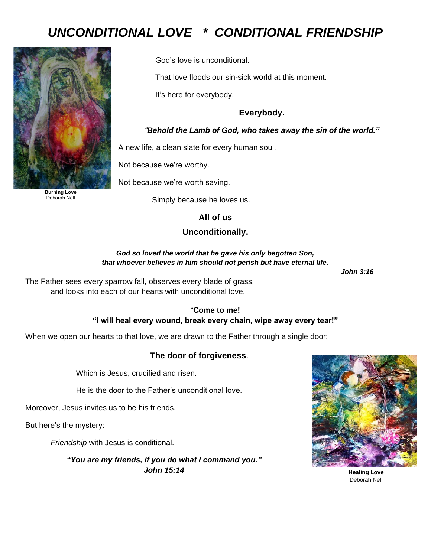# *UNCONDITIONAL LOVE \* CONDITIONAL FRIENDSHIP*



**Burning Love** Deborah Nell

God's love is unconditional.

That love floods our sin-sick world at this moment.

It's here for everybody.

#### **Everybody.**

#### *"Behold the Lamb of God, who takes away the sin of the world."*

A new life, a clean slate for every human soul.

Not because we're worthy.

Not because we're worth saving.

Simply because he loves us.

## **All of us**

### **Unconditionally.**

*God so loved the world that he gave his only begotten Son, that whoever believes in him should not perish but have eternal life.*

*John 3:16*

The Father sees every sparrow fall, observes every blade of grass, and looks into each of our hearts with unconditional love.

#### "**Come to me!**

#### **"I will heal every wound, break every chain, wipe away every tear!"**

When we open our hearts to that love, we are drawn to the Father through a single door:

### **The door of forgiveness**.

Which is Jesus, crucified and risen.

He is the door to the Father's unconditional love.

Moreover, Jesus invites us to be his friends.

But here's the mystery:

*Friendship* with Jesus is conditional.

*"You are my friends, if you do what I command you." John 15:14*



**Healing Love** Deborah Nell